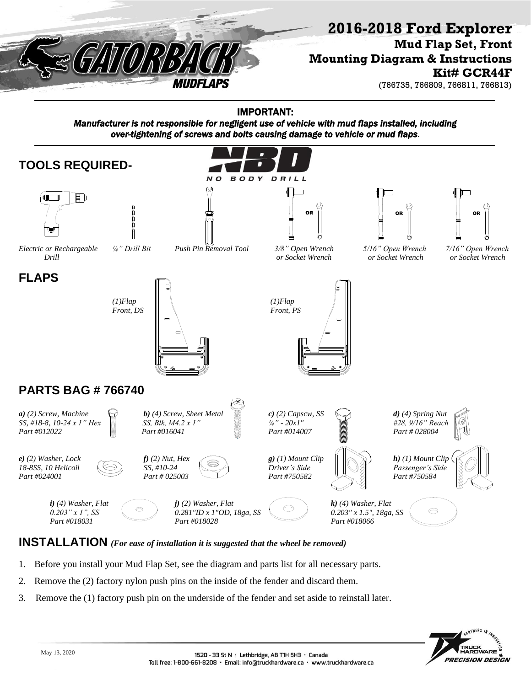

## **2016-2018 Ford Explorer**

**Mud Flap Set, Front Mounting Diagram & Instructions Kit# GCR44F**

(766735, 766809, 766811, 766813)

IMPORTANT:

*Manufacturer is not responsible for negligent use of vehicle with mud flaps installed, including over-tightening of screws and bolts causing damage to vehicle or mud flaps*.



## **INSTALLATION** *(For ease of installation it is suggested that the wheel be removed)*

- 1. Before you install your Mud Flap Set, see the diagram and parts list for all necessary parts.
- 2. Remove the (2) factory nylon push pins on the inside of the fender and discard them.
- 3. Remove the (1) factory push pin on the underside of the fender and set aside to reinstall later.

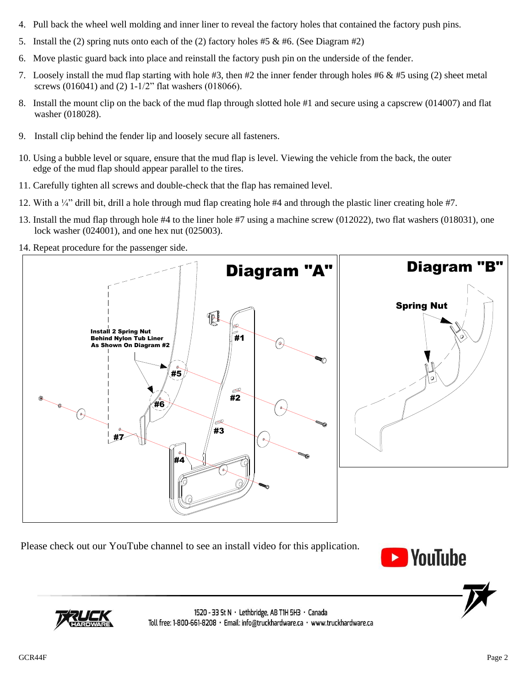- 4. Pull back the wheel well molding and inner liner to reveal the factory holes that contained the factory push pins.
- 5. Install the (2) spring nuts onto each of the (2) factory holes #5  $\&$  #6. (See Diagram #2)
- 6. Move plastic guard back into place and reinstall the factory push pin on the underside of the fender.
- 7. Loosely install the mud flap starting with hole #3, then #2 the inner fender through holes #6  $\&$  #5 using (2) sheet metal screws (016041) and (2) 1-1/2" flat washers (018066).
- 8. Install the mount clip on the back of the mud flap through slotted hole #1 and secure using a capscrew (014007) and flat washer (018028).
- 9. Install clip behind the fender lip and loosely secure all fasteners.
- 10. Using a bubble level or square, ensure that the mud flap is level. Viewing the vehicle from the back, the outer edge of the mud flap should appear parallel to the tires.
- 11. Carefully tighten all screws and double-check that the flap has remained level.
- 12. With a  $\frac{1}{4}$  drill bit, drill a hole through mud flap creating hole #4 and through the plastic liner creating hole #7.
- 13. Install the mud flap through hole #4 to the liner hole #7 using a machine screw (012022), two flat washers (018031), one lock washer (024001), and one hex nut (025003).
- 14. Repeat procedure for the passenger side.



Please check out our YouTube channel to see an install video for this application.





1520 - 33 St N · Lethbridge, AB T1H 5H3 · Canada Toll free: 1-800-661-8208 · Email: info@truckhardware.ca · www.truckhardware.ca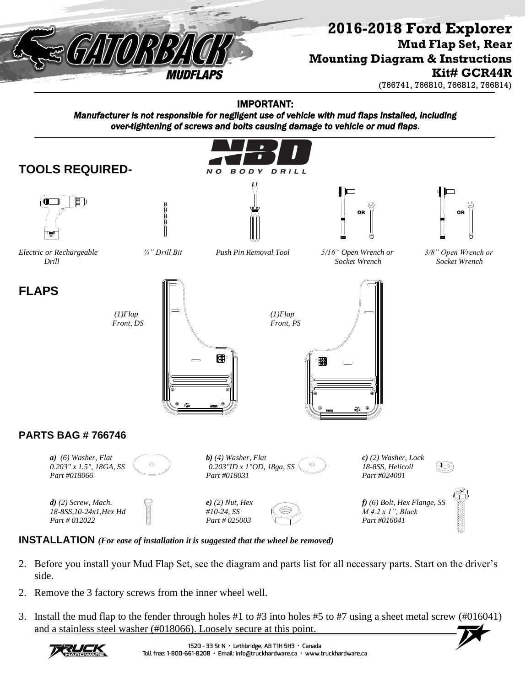

## **2016-2018 Ford Explorer Mud Flap Set, Rear Mounting Diagram & Instructions Kit# GCR44R**

(766741, 766810, 766812, 766814)

IMPORTANT:

*Manufacturer is not responsible for negligent use of vehicle with mud flaps installed, including over-tightening of screws and bolts causing damage to vehicle or mud flaps*.



**INSTALLATION** *(For ease of installation it is suggested that the wheel be removed)*

- 2. Before you install your Mud Flap Set, see the diagram and parts list for all necessary parts. Start on the driver's side.
- 2. Remove the 3 factory screws from the inner wheel well.
- 3. Install the mud flap to the fender through holes #1 to #3 into holes #5 to #7 using a sheet metal screw (#016041) and a stainless steel washer (#018066). Loosely secure at this point.